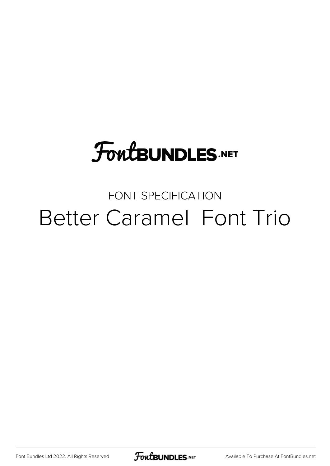#### **FoutBUNDLES.NET**

#### FONT SPECIFICATION Better Caramel Font Trio

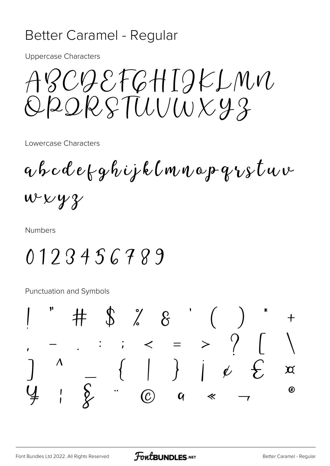#### Better Caramel - Regular

**Uppercase Characters** 

ABCQEFGHIJKLMN OPORSTUUWXY3

Lowercase Characters

 $q$  b c d e  $q$  h i j k l m n e p q  $v$  s t u v  $wxyy$ 

**Numbers** 

#### 0123456789

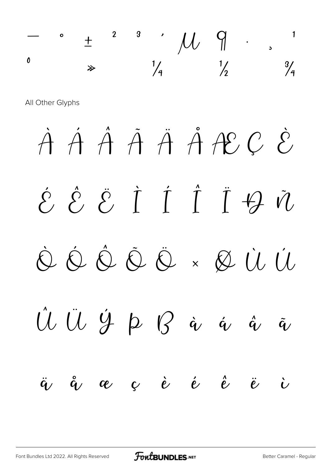$\mathbf{o}$  $\pm$  $\frac{1}{2}$  $\boldsymbol{\theta}$  $\frac{1}{4}$  $\frac{3}{4}$  $\gg$ 

À Á Â Ã Ä Å Å C È  $\acute{\mathcal{E}} \acute{\mathcal{E}} \acute{\mathcal{E}} \acute{\mathbf{I}} \acute{\mathbf{I}} \acute{\mathbf{I}} \acute{\mathbf{I}} \acute{\mathbf{I}}$  $\dot{Q}$   $\dot{Q}$   $\dot{Q}$   $\ddot{Q}$ × Q Ù Ú  $\hat{U} \ \hat{U} \ \hat{Y} \ \hat{P} \ \hat{R} \ \hat{q} \ \hat{q}$  $\tilde{q}$  $\ddot{q}$ ,  $\ddot{q}$ ,  $q$  $\begin{array}{ccccccccccccc}\n\bullet&\dot{e}&\dot{e}&\dot{e}&\ddot{e}\n\end{array}$  $\ddot{\mathbf{c}}$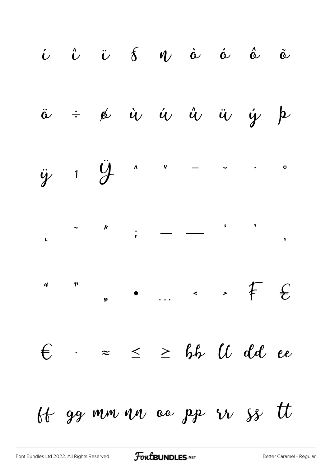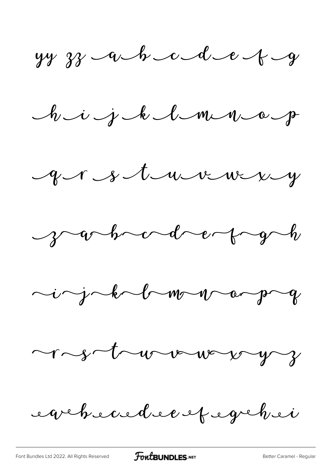$yy$   $yy$  -a h c d e  $+y$ 

 $-h.i.j.k.l.m.n.o.p$ 

gres taureuse

 $x$  whread eff of

injokohomoranpag

restaurant

egrebreded et egrebier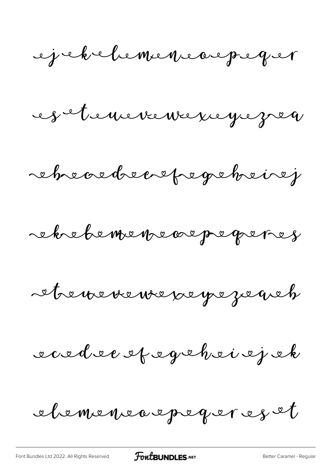ejekelemeneaepeger

es et enevenes eye jeg

rebreardrearpregreheirej

rebrebementemepegénes

et en verense pe je qu'il

ecedec et egehei ej ek

ebenes reaspeger es et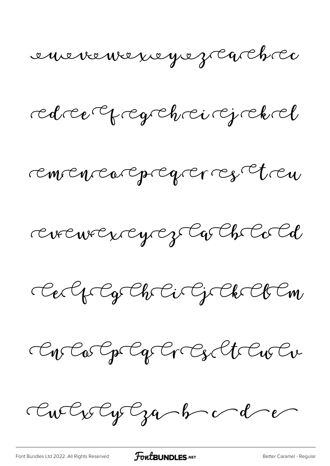enevenezegez cachec

colce Gregohriogickel

concuracprogrames trou

creureucycy Carchicald

Cecy Cychris Grandem

Curlo Gorly Crigilt Curle

CuCaCaCaCah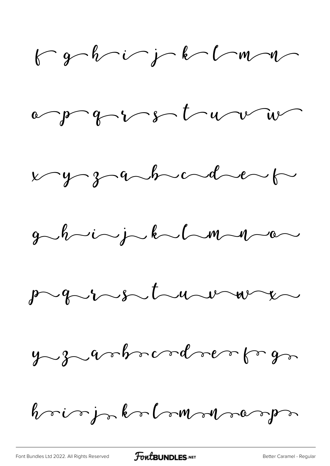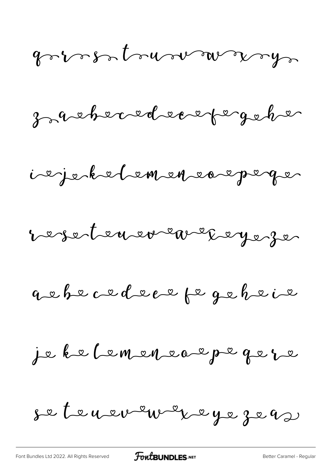







achecedece pe geheie

je kelemereaepe gere

se teneveuere ye je 20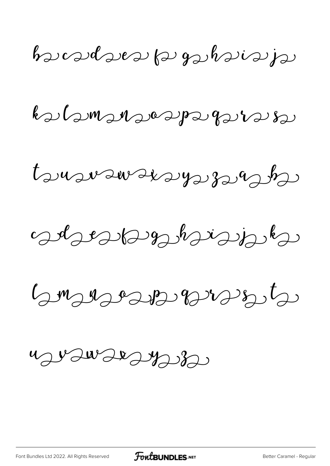$h$ s card are a  $h$  sar $h$ aria $j$ ar

 $k$ a  $l$ amanao apagarasa

tous van de vys zously

comptains de la comptant

 $L_{\text{H}}$ 

W DW DW DY D3 D

[Font Bundles Ltd 2022. All Rights Reserved](https://fontbundles.net/) **FoutBUNDLES.NET** Setter Caramel - Regular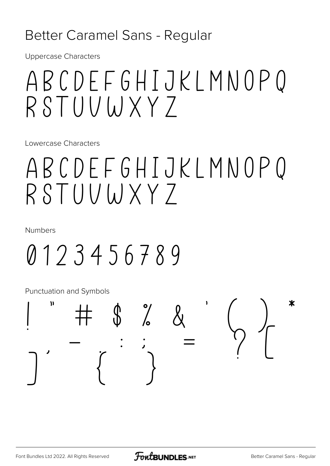Better Caramel Sans - Regular

**Uppercase Characters** 

### ABCDEFGHIJKLMNOPO  $RSTUUWXY7$

Lowercase Characters

### ABCDEFGHIJKLMNOPQ  $RSTIJUU)XY7$

**Numbers** 

0123456789

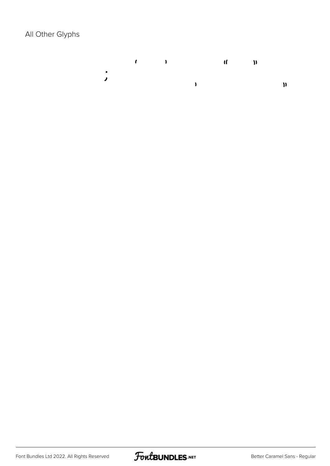|                                       | $\mathcal{C}$ and $\mathcal{C}$ and $\mathcal{C}$ and $\mathcal{C}$ and $\mathcal{C}$ and $\mathcal{C}$ and $\mathcal{C}$ and $\mathcal{C}$ and $\mathcal{C}$ and $\mathcal{C}$ and $\mathcal{C}$ and $\mathcal{C}$ and $\mathcal{C}$ and $\mathcal{C}$ and $\mathcal{C}$ and $\mathcal{C}$ and $\mathcal{C}$ and |  |                                                                                                                                     |  |
|---------------------------------------|-------------------------------------------------------------------------------------------------------------------------------------------------------------------------------------------------------------------------------------------------------------------------------------------------------------------|--|-------------------------------------------------------------------------------------------------------------------------------------|--|
| $\bullet$ . The contract of $\bullet$ |                                                                                                                                                                                                                                                                                                                   |  |                                                                                                                                     |  |
| $\overline{\phantom{a}}$              |                                                                                                                                                                                                                                                                                                                   |  |                                                                                                                                     |  |
|                                       |                                                                                                                                                                                                                                                                                                                   |  | $\mathbf{r}$ and $\mathbf{r}$ and $\mathbf{r}$ and $\mathbf{r}$ and $\mathbf{r}$ and $\mathbf{r}$ and $\mathbf{r}$ and $\mathbf{r}$ |  |

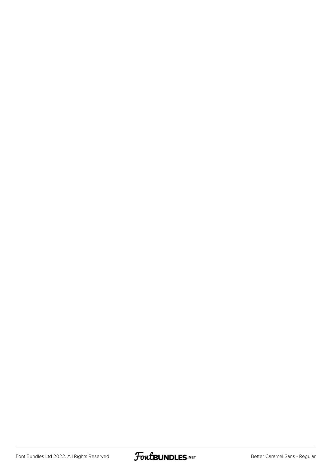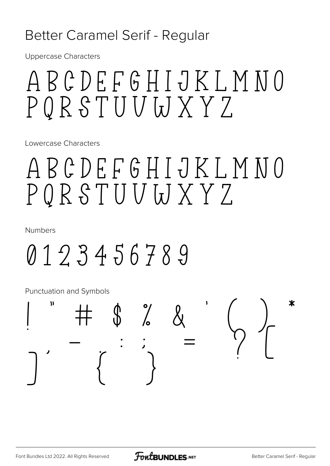#### Better Caramel Serif - Regular

**Uppercase Characters** 

#### ABCDEFGHIJKLMNO PORSTUUWXYZ

Lowercase Characters

### ABCDEFGHIJKLMNO PQRSTUUWXYZ

**Numbers** 

## 0123456789

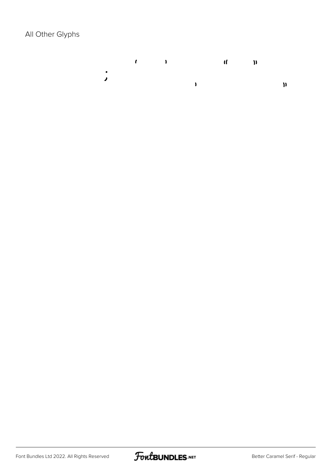|               | $\mathbf{r}$ and $\mathbf{r}$ and $\mathbf{r}$ and $\mathbf{r}$ and $\mathbf{r}$ and $\mathbf{r}$ and $\mathbf{r}$ and $\mathbf{r}$ and $\mathbf{r}$ and $\mathbf{r}$ and $\mathbf{r}$ and $\mathbf{r}$ and $\mathbf{r}$ and $\mathbf{r}$ and $\mathbf{r}$ and $\mathbf{r}$ and $\mathbf{r}$ and |  |                                                                                                                                                                                                                                                                                                  |  |
|---------------|--------------------------------------------------------------------------------------------------------------------------------------------------------------------------------------------------------------------------------------------------------------------------------------------------|--|--------------------------------------------------------------------------------------------------------------------------------------------------------------------------------------------------------------------------------------------------------------------------------------------------|--|
|               |                                                                                                                                                                                                                                                                                                  |  |                                                                                                                                                                                                                                                                                                  |  |
| $\mathcal{L}$ |                                                                                                                                                                                                                                                                                                  |  |                                                                                                                                                                                                                                                                                                  |  |
|               |                                                                                                                                                                                                                                                                                                  |  | $\mathbf{I}$ and $\mathbf{I}$ and $\mathbf{I}$ and $\mathbf{I}$ and $\mathbf{I}$ and $\mathbf{I}$ and $\mathbf{I}$ and $\mathbf{I}$ and $\mathbf{I}$ and $\mathbf{I}$ and $\mathbf{I}$ and $\mathbf{I}$ and $\mathbf{I}$ and $\mathbf{I}$ and $\mathbf{I}$ and $\mathbf{I}$ and $\mathbf{I}$ and |  |

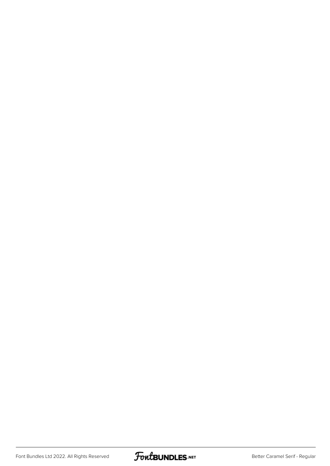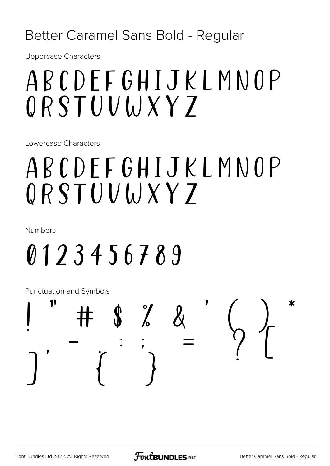Better Caramel Sans Bold - Regular

**Uppercase Characters** 

### ABCDEFGHIJKLMNOP  $0$ RSTUVWXYZ

Lowercase Characters

## ABCDEFGHIJKLMNOP  $0$ RSTUVWXYZ

**Numbers** 

0123456789

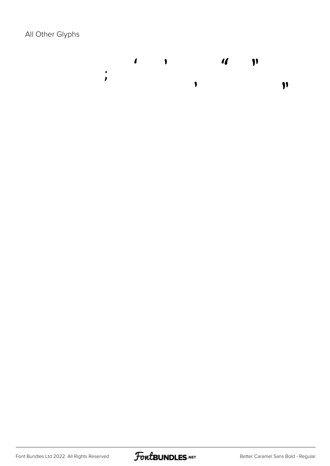|            | $\sqrt{2}$ |                | $\frac{1}{2}$ |                         |
|------------|------------|----------------|---------------|-------------------------|
|            |            |                |               |                         |
| $\ddot{i}$ |            | $\blacksquare$ |               | $\overline{\mathbf{v}}$ |
|            |            |                |               |                         |

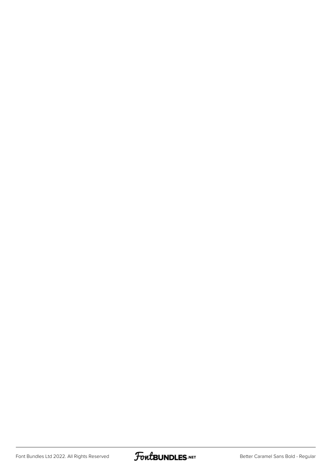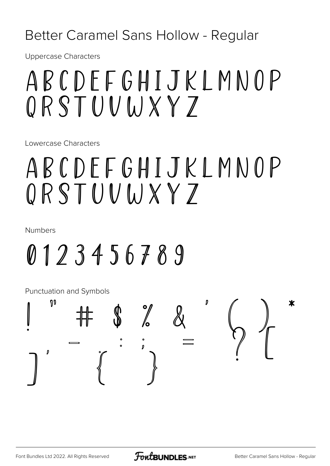Better Caramel Sans Hollow - Regular

**Uppercase Characters** 

#### ABCDEFGHIJKLMNOP ORSTUUWXYZ

Lowercase Characters

ABCDEFGHIJKLMNOP ORSTUUWXYZ

**Numbers** 

0123456789

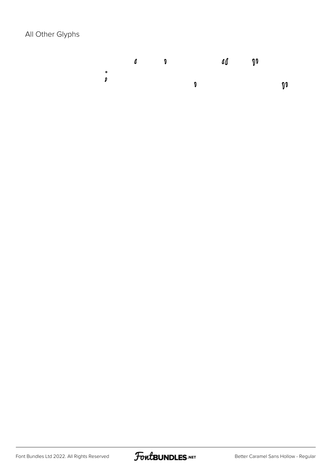|                         | $\mathcal{C}$ 0 |              | ad DD |                |
|-------------------------|-----------------|--------------|-------|----------------|
|                         |                 |              |       |                |
| $\overset{\circ}{\ell}$ |                 | $\mathbf{D}$ |       | $\mathfrak{g}$ |
|                         |                 |              |       |                |

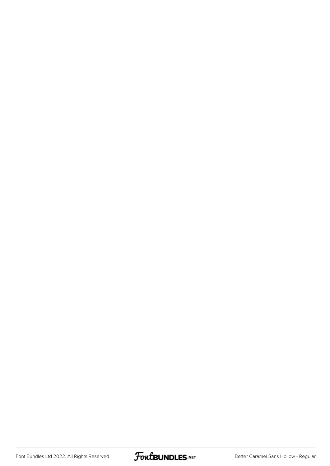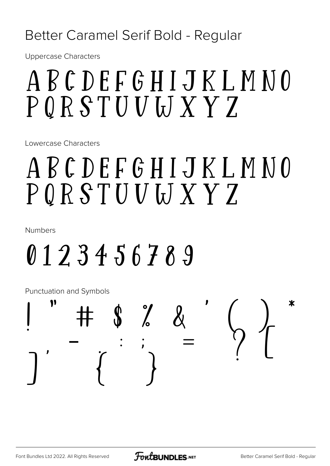#### Better Caramel Serif Bold - Regular

**Uppercase Characters** 

### ABCDEFGHIJKLMNO PORSTUUWXYZ

Lowercase Characters

## ABCDEFGHIJKLMN0 PQRSTUUWXYZ

**Numbers** 

# 0123456789

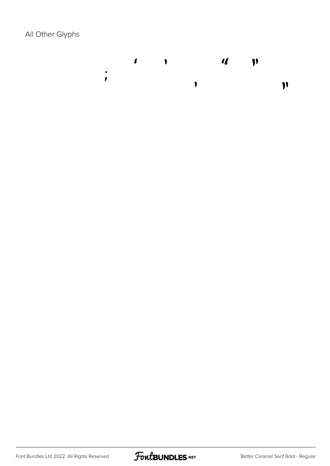|            | $\sqrt{2}$ |                         | $\frac{1}{2}$ |                         |
|------------|------------|-------------------------|---------------|-------------------------|
|            |            |                         |               |                         |
| $\ddot{i}$ |            | $\overline{\mathbf{1}}$ |               | $\overline{\mathbf{v}}$ |
|            |            |                         |               |                         |

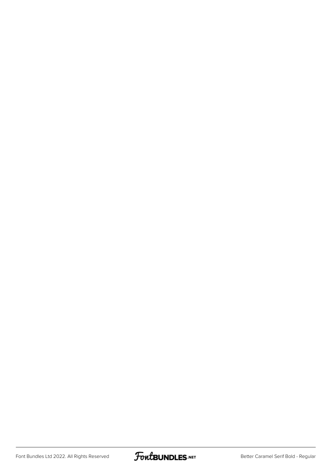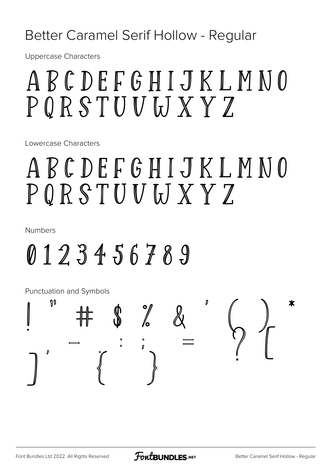Better Caramel Serif Hollow - Regular

**Uppercase Characters** 

#### ABCDEFGHIJKLMNO PQRSTUUWXYZ

Lowercase Characters

#### ABCDEFGHIJKLMNO PQRSTUUWXYZ

**Numbers** 

0123456789

Punctuation and Symbols



**FOWLBUNDLES.NET**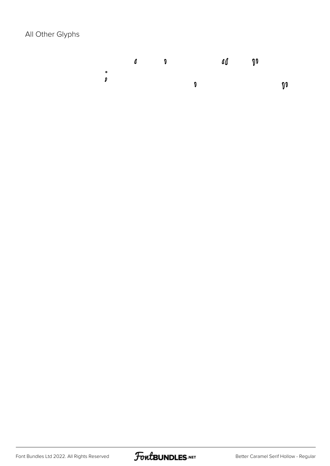|                       | $\mathcal{C}$ 0 |              | <i>ag</i> do |                |
|-----------------------|-----------------|--------------|--------------|----------------|
|                       |                 |              |              |                |
| $\int\limits_{0}^{0}$ |                 | $\mathbf{D}$ |              | $\mathfrak{g}$ |
|                       |                 |              |              |                |